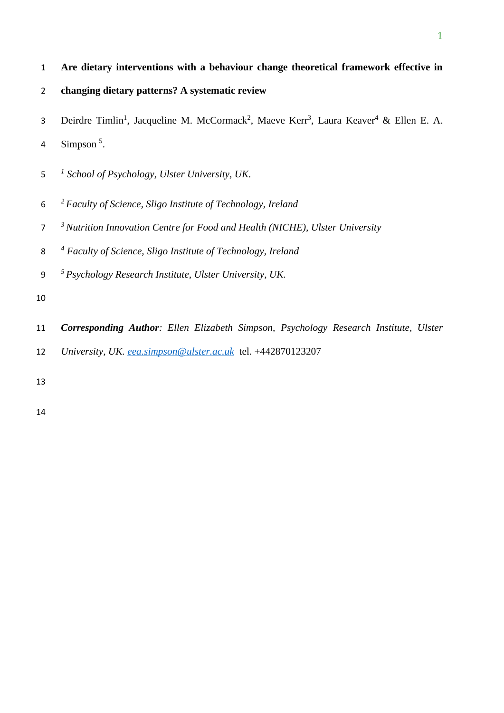- **Are dietary interventions with a behaviour change theoretical framework effective in**
- **changing dietary patterns? A systematic review**
- 3 Deirdre Timlin<sup>1</sup>, Jacqueline M. McCormack<sup>2</sup>, Maeve Kerr<sup>3</sup>, Laura Keaver<sup>4</sup> & Ellen E. A.
- 4 Simpson .
- *1 School of Psychology, Ulster University, UK.*
- *<sup>2</sup> Faculty of Science, Sligo Institute of Technology, Ireland*
- *<sup>3</sup> Nutrition Innovation Centre for Food and Health (NICHE), Ulster University*
- *4 Faculty of Science, Sligo Institute of Technology, Ireland*
- *<sup>5</sup> Psychology Research Institute, Ulster University, UK.*
- 
- *Corresponding Author: Ellen Elizabeth Simpson, Psychology Research Institute, Ulster*
- *University, UK. [eea.simpson@ulster.ac.uk](mailto:eea.simpson@ulster.ac.uk)* tel. +442870123207
-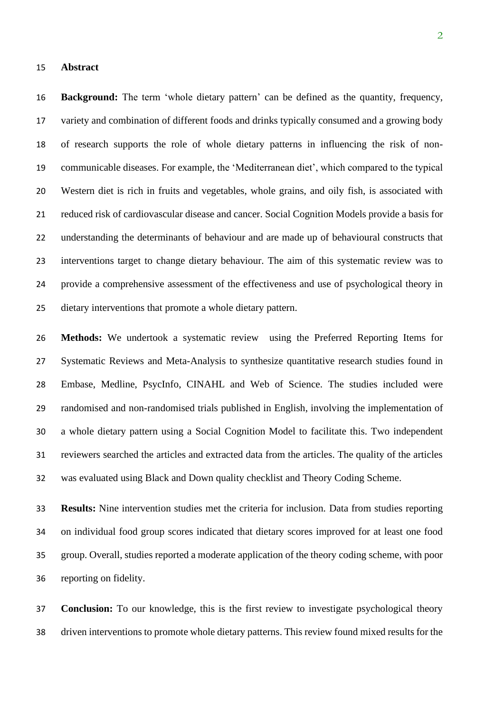#### **Abstract**

 **Background:** The term 'whole dietary pattern' can be defined as the quantity, frequency, variety and combination of different foods and drinks typically consumed and a growing body of research supports the role of whole dietary patterns in influencing the risk of non- communicable diseases. For example, the 'Mediterranean diet', which compared to the typical Western diet is rich in fruits and vegetables, whole grains, and oily fish, is associated with reduced risk of cardiovascular disease and cancer. Social Cognition Models provide a basis for understanding the determinants of behaviour and are made up of behavioural constructs that interventions target to change dietary behaviour. The aim of this systematic review was to provide a comprehensive assessment of the effectiveness and use of psychological theory in dietary interventions that promote a whole dietary pattern.

 **Methods:** We undertook a systematic review using the Preferred Reporting Items for Systematic Reviews and Meta-Analysis to synthesize quantitative research studies found in Embase, Medline, PsycInfo, CINAHL and Web of Science. The studies included were randomised and non-randomised trials published in English, involving the implementation of a whole dietary pattern using a Social Cognition Model to facilitate this. Two independent reviewers searched the articles and extracted data from the articles. The quality of the articles was evaluated using Black and Down quality checklist and Theory Coding Scheme.

 **Results:** Nine intervention studies met the criteria for inclusion. Data from studies reporting on individual food group scores indicated that dietary scores improved for at least one food group. Overall, studies reported a moderate application of the theory coding scheme, with poor reporting on fidelity.

 **Conclusion:** To our knowledge, this is the first review to investigate psychological theory driven interventions to promote whole dietary patterns. This review found mixed results for the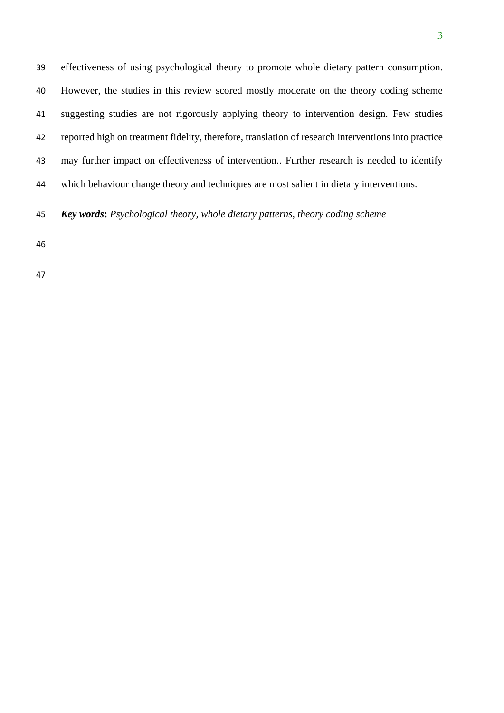effectiveness of using psychological theory to promote whole dietary pattern consumption. However, the studies in this review scored mostly moderate on the theory coding scheme suggesting studies are not rigorously applying theory to intervention design. Few studies reported high on treatment fidelity, therefore, translation of research interventions into practice may further impact on effectiveness of intervention.. Further research is needed to identify which behaviour change theory and techniques are most salient in dietary interventions.

*Key words***:** *Psychological theory, whole dietary patterns, theory coding scheme*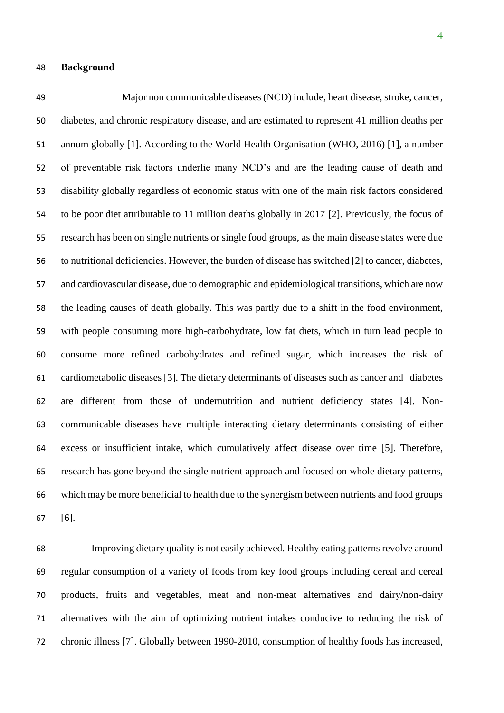Major non communicable diseases (NCD) include, heart disease, stroke, cancer, diabetes, and chronic respiratory disease, and are estimated to represent 41 million deaths per annum globally [1]. According to the World Health Organisation (WHO, 2016) [1], a number of preventable risk factors underlie many NCD's and are the leading cause of death and disability globally regardless of economic status with one of the main risk factors considered to be poor diet attributable to 11 million deaths globally in 2017 [2]. Previously, the focus of research has been on single nutrients or single food groups, as the main disease states were due to nutritional deficiencies. However, the burden of disease has switched [2] to cancer, diabetes, and cardiovascular disease, due to demographic and epidemiological transitions, which are now the leading causes of death globally. This was partly due to a shift in the food environment, with people consuming more high-carbohydrate, low fat diets, which in turn lead people to consume more refined carbohydrates and refined sugar, which increases the risk of cardiometabolic diseases [3]. The dietary determinants of diseases such as cancer and diabetes are different from those of undernutrition and nutrient deficiency states [4]. Non- communicable diseases have multiple interacting dietary determinants consisting of either excess or insufficient intake, which cumulatively affect disease over time [5]. Therefore, research has gone beyond the single nutrient approach and focused on whole dietary patterns, which may be more beneficial to health due to the synergism between nutrients and food groups [6].

 Improving dietary quality is not easily achieved. Healthy eating patterns revolve around regular consumption of a variety of foods from key food groups including cereal and cereal products, fruits and vegetables, meat and non-meat alternatives and dairy/non-dairy alternatives with the aim of optimizing nutrient intakes conducive to reducing the risk of chronic illness [7]. Globally between 1990-2010, consumption of healthy foods has increased,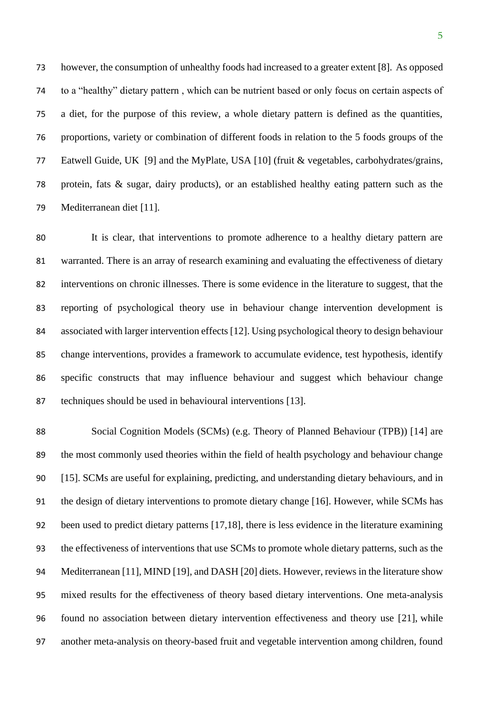however, the consumption of unhealthy foods had increased to a greater extent [8]. As opposed to a "healthy" dietary pattern , which can be nutrient based or only focus on certain aspects of a diet, for the purpose of this review, a whole dietary pattern is defined as the quantities, proportions, variety or combination of different foods in relation to the 5 foods groups of the Eatwell Guide, UK [9] and the MyPlate, USA [10] (fruit & vegetables, carbohydrates/grains, protein, fats & sugar, dairy products), or an established healthy eating pattern such as the Mediterranean diet [11].

 It is clear, that interventions to promote adherence to a healthy dietary pattern are warranted. There is an array of research examining and evaluating the effectiveness of dietary interventions on chronic illnesses. There is some evidence in the literature to suggest, that the reporting of psychological theory use in behaviour change intervention development is associated with larger intervention effects [12]. Using psychological theory to design behaviour change interventions, provides a framework to accumulate evidence, test hypothesis, identify specific constructs that may influence behaviour and suggest which behaviour change techniques should be used in behavioural interventions [13].

 Social Cognition Models (SCMs) (e.g. Theory of Planned Behaviour (TPB)) [14] are the most commonly used theories within the field of health psychology and behaviour change [15]. SCMs are useful for explaining, predicting, and understanding dietary behaviours, and in the design of dietary interventions to promote dietary change [16]. However, while SCMs has been used to predict dietary patterns [17,18], there is less evidence in the literature examining the effectiveness of interventions that use SCMs to promote whole dietary patterns, such as the Mediterranean [11], MIND [19], and DASH [20] diets. However, reviews in the literature show mixed results for the effectiveness of theory based dietary interventions. One meta-analysis found no association between dietary intervention effectiveness and theory use [21], while another meta-analysis on theory-based fruit and vegetable intervention among children, found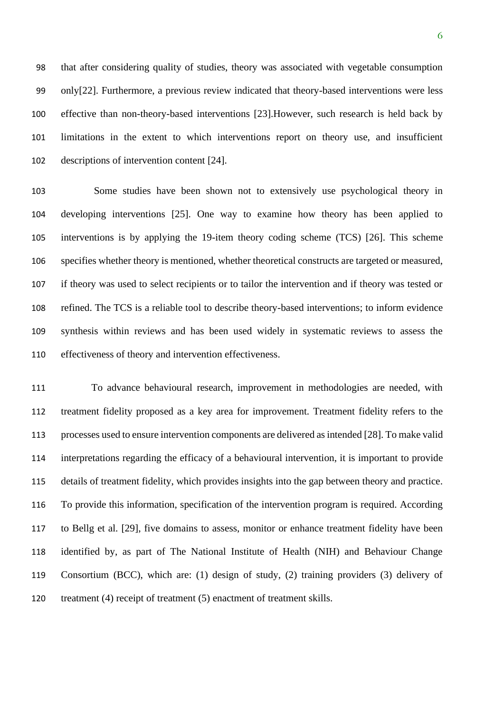that after considering quality of studies, theory was associated with vegetable consumption only[22]. Furthermore, a previous review indicated that theory-based interventions were less effective than non-theory-based interventions [23].However, such research is held back by limitations in the extent to which interventions report on theory use, and insufficient descriptions of intervention content [24].

 Some studies have been shown not to extensively use psychological theory in developing interventions [25]. One way to examine how theory has been applied to interventions is by applying the 19-item theory coding scheme (TCS) [26]. This scheme specifies whether theory is mentioned, whether theoretical constructs are targeted or measured, if theory was used to select recipients or to tailor the intervention and if theory was tested or refined. The TCS is a reliable tool to describe theory-based interventions; to inform evidence synthesis within reviews and has been used widely in systematic reviews to assess the effectiveness of theory and intervention effectiveness.

 To advance behavioural research, improvement in methodologies are needed, with treatment fidelity proposed as a key area for improvement. Treatment fidelity refers to the processes used to ensure intervention components are delivered as intended [28]. To make valid interpretations regarding the efficacy of a behavioural intervention, it is important to provide details of treatment fidelity, which provides insights into the gap between theory and practice. To provide this information, specification of the intervention program is required. According to Bellg et al. [29], five domains to assess, monitor or enhance treatment fidelity have been identified by, as part of The National Institute of Health (NIH) and Behaviour Change Consortium (BCC), which are: (1) design of study, (2) training providers (3) delivery of treatment (4) receipt of treatment (5) enactment of treatment skills.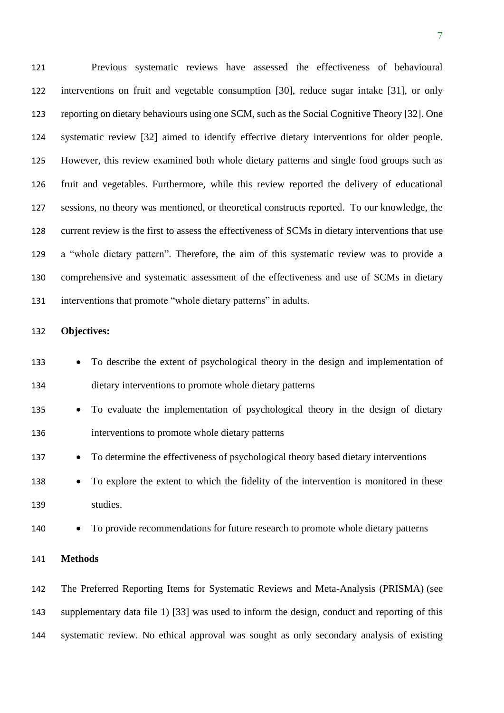Previous systematic reviews have assessed the effectiveness of behavioural interventions on fruit and vegetable consumption [30], reduce sugar intake [31], or only reporting on dietary behaviours using one SCM, such as the Social Cognitive Theory [32]. One systematic review [32] aimed to identify effective dietary interventions for older people. However, this review examined both whole dietary patterns and single food groups such as fruit and vegetables. Furthermore, while this review reported the delivery of educational sessions, no theory was mentioned, or theoretical constructs reported. To our knowledge, the current review is the first to assess the effectiveness of SCMs in dietary interventions that use a "whole dietary pattern". Therefore, the aim of this systematic review was to provide a comprehensive and systematic assessment of the effectiveness and use of SCMs in dietary interventions that promote "whole dietary patterns" in adults.

## **Objectives:**

| 133 | To describe the extent of psychological theory in the design and implementation of<br>$\bullet$    |
|-----|----------------------------------------------------------------------------------------------------|
| 134 | dietary interventions to promote whole dietary patterns                                            |
| 135 | To evaluate the implementation of psychological theory in the design of dietary                    |
| 136 | interventions to promote whole dietary patterns                                                    |
| 137 | To determine the effectiveness of psychological theory based dietary interventions<br>$\bullet$    |
| 138 | To explore the extent to which the fidelity of the intervention is monitored in these<br>$\bullet$ |
| 139 | studies.                                                                                           |
| 140 | To provide recommendations for future research to promote whole dietary patterns<br>$\bullet$      |
| 141 | <b>Methods</b>                                                                                     |
| 142 | The Preferred Reporting Items for Systematic Reviews and Meta-Analysis (PRISMA) (see               |
| 143 | supplementary data file 1) [33] was used to inform the design, conduct and reporting of this       |
| 144 | systematic review. No ethical approval was sought as only secondary analysis of existing           |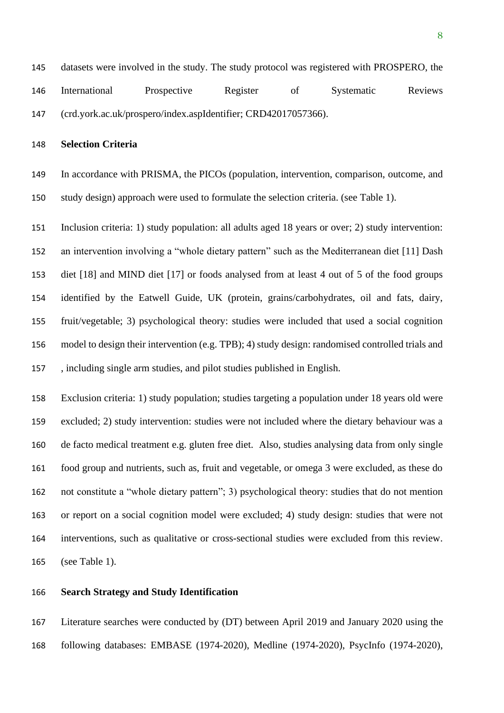# **Selection Criteria**

 In accordance with PRISMA, the PICOs (population, intervention, comparison, outcome, and study design) approach were used to formulate the selection criteria. (see Table 1).

 Inclusion criteria: 1) study population: all adults aged 18 years or over; 2) study intervention: an intervention involving a "whole dietary pattern" such as the Mediterranean diet [11] Dash diet [18] and MIND diet [17] or foods analysed from at least 4 out of 5 of the food groups identified by the Eatwell Guide, UK (protein, grains/carbohydrates, oil and fats, dairy, fruit/vegetable; 3) psychological theory: studies were included that used a social cognition model to design their intervention (e.g. TPB); 4) study design: randomised controlled trials and , including single arm studies, and pilot studies published in English.

 Exclusion criteria: 1) study population; studies targeting a population under 18 years old were excluded; 2) study intervention: studies were not included where the dietary behaviour was a de facto medical treatment e.g. gluten free diet. Also, studies analysing data from only single food group and nutrients, such as, fruit and vegetable, or omega 3 were excluded, as these do not constitute a "whole dietary pattern"; 3) psychological theory: studies that do not mention or report on a social cognition model were excluded; 4) study design: studies that were not interventions, such as qualitative or cross-sectional studies were excluded from this review. (see Table 1).

## **Search Strategy and Study Identification**

 Literature searches were conducted by (DT) between April 2019 and January 2020 using the following databases: EMBASE (1974-2020), Medline (1974-2020), PsycInfo (1974-2020),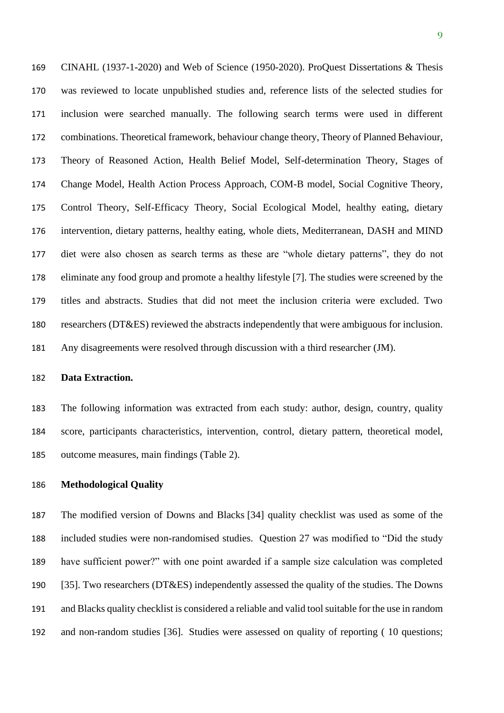CINAHL (1937-1-2020) and Web of Science (1950-2020). ProQuest Dissertations & Thesis was reviewed to locate unpublished studies and, reference lists of the selected studies for inclusion were searched manually. The following search terms were used in different combinations. Theoretical framework, behaviour change theory, Theory of Planned Behaviour, Theory of Reasoned Action, Health Belief Model, Self-determination Theory, Stages of Change Model, Health Action Process Approach, COM-B model, Social Cognitive Theory, Control Theory, Self-Efficacy Theory, Social Ecological Model, healthy eating, dietary intervention, dietary patterns, healthy eating, whole diets, Mediterranean, DASH and MIND diet were also chosen as search terms as these are "whole dietary patterns", they do not eliminate any food group and promote a healthy lifestyle [7]. The studies were screened by the titles and abstracts. Studies that did not meet the inclusion criteria were excluded. Two researchers (DT&ES) reviewed the abstracts independently that were ambiguous for inclusion. Any disagreements were resolved through discussion with a third researcher (JM).

## **Data Extraction.**

 The following information was extracted from each study: author, design, country, quality score, participants characteristics, intervention, control, dietary pattern, theoretical model, outcome measures, main findings (Table 2).

#### **Methodological Quality**

 The modified version of Downs and Blacks [34] quality checklist was used as some of the included studies were non-randomised studies. Question 27 was modified to "Did the study have sufficient power?" with one point awarded if a sample size calculation was completed [35]. Two researchers (DT&ES) independently assessed the quality of the studies. The Downs and Blacks quality checklist is considered a reliable and valid tool suitable for the use in random and non-random studies [36]. Studies were assessed on quality of reporting ( 10 questions;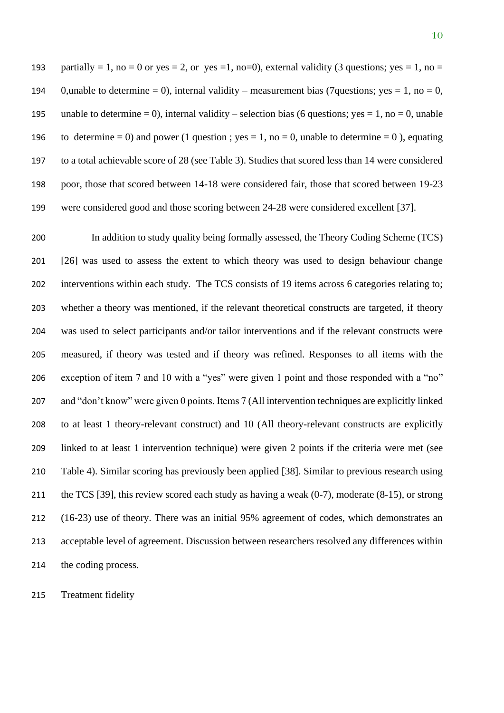193 partially = 1, no = 0 or yes = 2, or yes = 1, no=0), external validity (3 questions; yes = 1, no = 194 0,unable to determine = 0), internal validity – measurement bias (7questions; yes = 1, no = 0, 195 unable to determine = 0), internal validity – selection bias (6 questions; yes = 1, no = 0, unable 196 to determine = 0) and power (1 question ; yes = 1, no = 0, unable to determine = 0), equating to a total achievable score of 28 (see Table 3). Studies that scored less than 14 were considered poor, those that scored between 14-18 were considered fair, those that scored between 19-23 were considered good and those scoring between 24-28 were considered excellent [37].

 In addition to study quality being formally assessed, the Theory Coding Scheme (TCS) [26] was used to assess the extent to which theory was used to design behaviour change interventions within each study. The TCS consists of 19 items across 6 categories relating to; whether a theory was mentioned, if the relevant theoretical constructs are targeted, if theory was used to select participants and/or tailor interventions and if the relevant constructs were measured, if theory was tested and if theory was refined. Responses to all items with the exception of item 7 and 10 with a "yes" were given 1 point and those responded with a "no" and "don't know" were given 0 points. Items 7 (All intervention techniques are explicitly linked to at least 1 theory-relevant construct) and 10 (All theory-relevant constructs are explicitly linked to at least 1 intervention technique) were given 2 points if the criteria were met (see Table 4). Similar scoring has previously been applied [38]. Similar to previous research using 211 the TCS [39], this review scored each study as having a weak (0-7), moderate (8-15), or strong (16-23) use of theory. There was an initial 95% agreement of codes, which demonstrates an acceptable level of agreement. Discussion between researchers resolved any differences within the coding process.

Treatment fidelity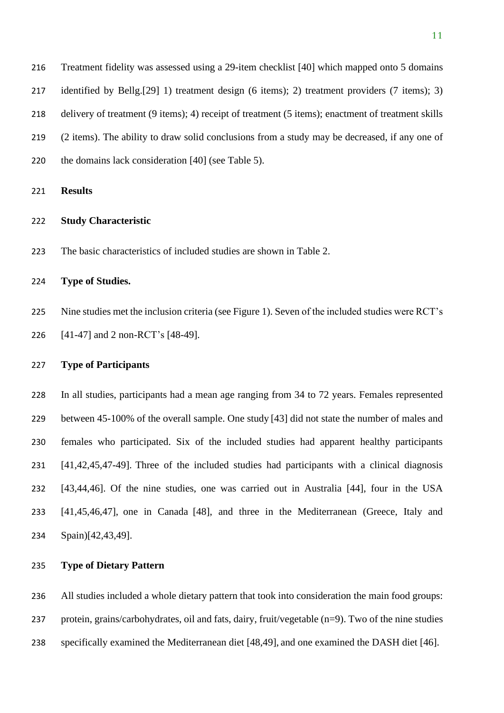| 216 | Treatment fidelity was assessed using a 29-item checklist [40] which mapped onto 5 domains                          |
|-----|---------------------------------------------------------------------------------------------------------------------|
| 217 | identified by Bellg. [29] 1) treatment design $(6 \text{ items})$ ; 2) treatment providers $(7 \text{ items})$ ; 3) |
| 218 | delivery of treatment (9 items); 4) receipt of treatment (5 items); enactment of treatment skills                   |
| 219 | (2 items). The ability to draw solid conclusions from a study may be decreased, if any one of                       |
| 220 | the domains lack consideration [40] (see Table 5).                                                                  |
|     |                                                                                                                     |

**Results**

# **Study Characteristic**

The basic characteristics of included studies are shown in Table 2.

## **Type of Studies.**

 Nine studies met the inclusion criteria (see Figure 1). Seven of the included studies were RCT's [41-47] and 2 non-RCT's [48-49].

#### **Type of Participants**

 In all studies, participants had a mean age ranging from 34 to 72 years. Females represented between 45-100% of the overall sample. One study [43] did not state the number of males and females who participated. Six of the included studies had apparent healthy participants [41,42,45,47-49]. Three of the included studies had participants with a clinical diagnosis [43,44,46]. Of the nine studies, one was carried out in Australia [44], four in the USA [41,45,46,47], one in Canada [48], and three in the Mediterranean (Greece, Italy and Spain)[42,43,49].

# **Type of Dietary Pattern**

 All studies included a whole dietary pattern that took into consideration the main food groups: protein, grains/carbohydrates, oil and fats, dairy, fruit/vegetable (n=9). Two of the nine studies

specifically examined the Mediterranean diet [48,49], and one examined the DASH diet [46].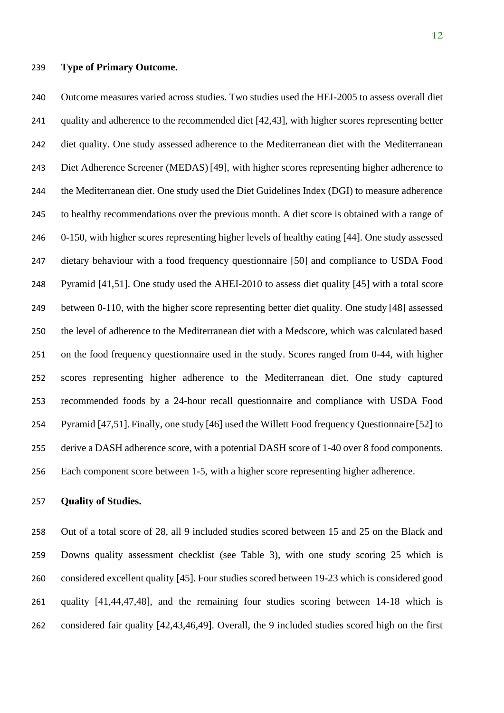**Type of Primary Outcome.**

 Outcome measures varied across studies. Two studies used the HEI-2005 to assess overall diet quality and adherence to the recommended diet [42,43], with higher scores representing better diet quality. One study assessed adherence to the Mediterranean diet with the Mediterranean Diet Adherence Screener (MEDAS) [49], with higher scores representing higher adherence to the Mediterranean diet. One study used the Diet Guidelines Index (DGI) to measure adherence to healthy recommendations over the previous month. A diet score is obtained with a range of 0-150, with higher scores representing higher levels of healthy eating [44]. One study assessed dietary behaviour with a food frequency questionnaire [50] and compliance to USDA Food Pyramid [41,51]. One study used the AHEI-2010 to assess diet quality [45] with a total score between 0-110, with the higher score representing better diet quality. One study [48] assessed the level of adherence to the Mediterranean diet with a Medscore, which was calculated based on the food frequency questionnaire used in the study. Scores ranged from 0-44, with higher scores representing higher adherence to the Mediterranean diet. One study captured recommended foods by a 24-hour recall questionnaire and compliance with USDA Food Pyramid [47,51]. Finally, one study [46] used the Willett Food frequency Questionnaire [52] to derive a DASH adherence score, with a potential DASH score of 1-40 over 8 food components. Each component score between 1-5, with a higher score representing higher adherence.

#### **Quality of Studies.**

 Out of a total score of 28, all 9 included studies scored between 15 and 25 on the Black and Downs quality assessment checklist (see Table 3), with one study scoring 25 which is considered excellent quality [45]. Four studies scored between 19-23 which is considered good quality [41,44,47,48], and the remaining four studies scoring between 14-18 which is considered fair quality [42,43,46,49]. Overall, the 9 included studies scored high on the first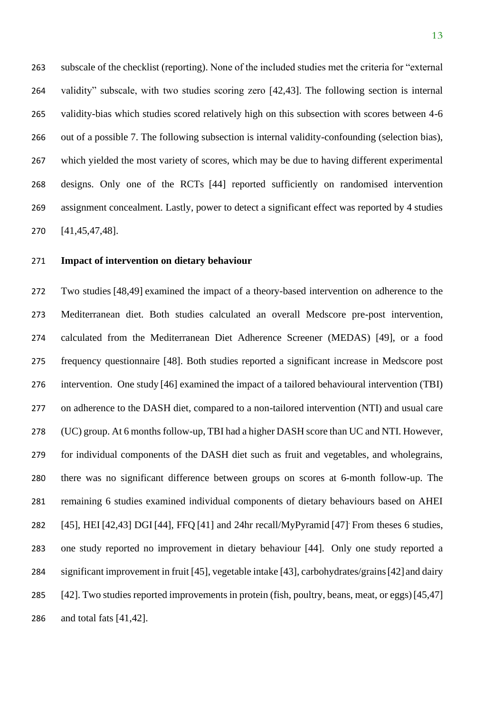subscale of the checklist (reporting). None of the included studies met the criteria for "external validity" subscale, with two studies scoring zero [42,43]. The following section is internal validity-bias which studies scored relatively high on this subsection with scores between 4-6 out of a possible 7. The following subsection is internal validity-confounding (selection bias), which yielded the most variety of scores, which may be due to having different experimental designs. Only one of the RCTs [44] reported sufficiently on randomised intervention assignment concealment. Lastly, power to detect a significant effect was reported by 4 studies [41,45,47,48].

# **Impact of intervention on dietary behaviour**

 Two studies [48,49] examined the impact of a theory-based intervention on adherence to the Mediterranean diet. Both studies calculated an overall Medscore pre-post intervention, calculated from the Mediterranean Diet Adherence Screener (MEDAS) [49], or a food frequency questionnaire [48]. Both studies reported a significant increase in Medscore post intervention. One study [46] examined the impact of a tailored behavioural intervention (TBI) on adherence to the DASH diet, compared to a non-tailored intervention (NTI) and usual care (UC) group. At 6 months follow-up, TBI had a higher DASH score than UC and NTI. However, for individual components of the DASH diet such as fruit and vegetables, and wholegrains, there was no significant difference between groups on scores at 6-month follow-up. The remaining 6 studies examined individual components of dietary behaviours based on AHEI  $[45]$ , HEI  $[42, 43]$  DGI  $[44]$ , FFO  $[41]$  and 24hr recall/MyPyramid  $[47]$ . From theses 6 studies, one study reported no improvement in dietary behaviour [44]. Only one study reported a significant improvement in fruit [45], vegetable intake [43], carbohydrates/grains[42] and dairy 285 [42]. Two studies reported improvements in protein (fish, poultry, beans, meat, or eggs) [45,47] and total fats [41,42].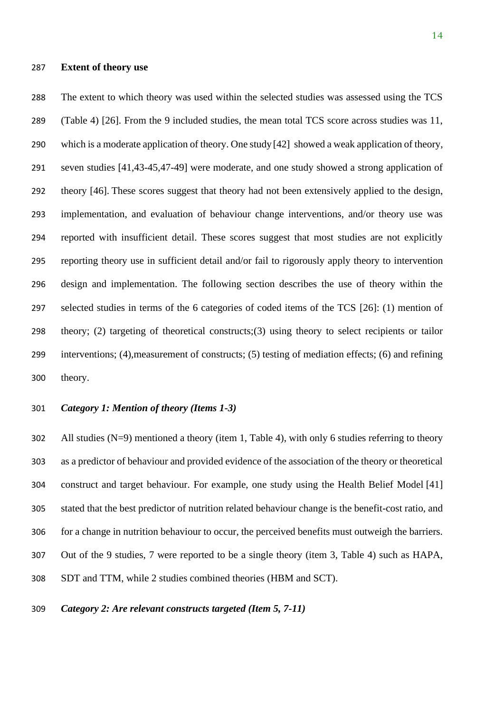#### **Extent of theory use**

 The extent to which theory was used within the selected studies was assessed using the TCS (Table 4) [26]. From the 9 included studies, the mean total TCS score across studies was 11, which is a moderate application of theory. One study [42] showed a weak application of theory, seven studies [41,43-45,47-49] were moderate, and one study showed a strong application of theory [46]. These scores suggest that theory had not been extensively applied to the design, implementation, and evaluation of behaviour change interventions, and/or theory use was reported with insufficient detail. These scores suggest that most studies are not explicitly reporting theory use in sufficient detail and/or fail to rigorously apply theory to intervention design and implementation. The following section describes the use of theory within the selected studies in terms of the 6 categories of coded items of the TCS [26]: (1) mention of theory; (2) targeting of theoretical constructs;(3) using theory to select recipients or tailor interventions; (4),measurement of constructs; (5) testing of mediation effects; (6) and refining theory.

#### *Category 1: Mention of theory (Items 1-3)*

 All studies (N=9) mentioned a theory (item 1, Table 4), with only 6 studies referring to theory as a predictor of behaviour and provided evidence of the association of the theory or theoretical construct and target behaviour. For example, one study using the Health Belief Model [41] stated that the best predictor of nutrition related behaviour change is the benefit-cost ratio, and for a change in nutrition behaviour to occur, the perceived benefits must outweigh the barriers. Out of the 9 studies, 7 were reported to be a single theory (item 3, Table 4) such as HAPA, SDT and TTM, while 2 studies combined theories (HBM and SCT).

## *Category 2: Are relevant constructs targeted (Item 5, 7-11)*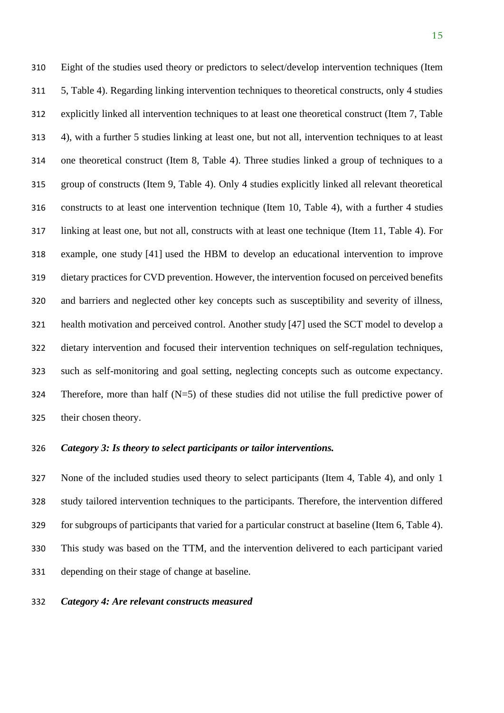Eight of the studies used theory or predictors to select/develop intervention techniques (Item 5, Table 4). Regarding linking intervention techniques to theoretical constructs, only 4 studies explicitly linked all intervention techniques to at least one theoretical construct (Item 7, Table 4), with a further 5 studies linking at least one, but not all, intervention techniques to at least one theoretical construct (Item 8, Table 4). Three studies linked a group of techniques to a group of constructs (Item 9, Table 4). Only 4 studies explicitly linked all relevant theoretical constructs to at least one intervention technique (Item 10, Table 4), with a further 4 studies linking at least one, but not all, constructs with at least one technique (Item 11, Table 4). For example, one study [41] used the HBM to develop an educational intervention to improve dietary practices for CVD prevention. However, the intervention focused on perceived benefits and barriers and neglected other key concepts such as susceptibility and severity of illness, health motivation and perceived control. Another study [47] used the SCT model to develop a dietary intervention and focused their intervention techniques on self-regulation techniques, such as self-monitoring and goal setting, neglecting concepts such as outcome expectancy. Therefore, more than half (N=5) of these studies did not utilise the full predictive power of their chosen theory.

#### *Category 3: Is theory to select participants or tailor interventions.*

 None of the included studies used theory to select participants (Item 4, Table 4), and only 1 study tailored intervention techniques to the participants. Therefore, the intervention differed for subgroups of participants that varied for a particular construct at baseline (Item 6, Table 4). This study was based on the TTM, and the intervention delivered to each participant varied depending on their stage of change at baseline.

#### *Category 4: Are relevant constructs measured*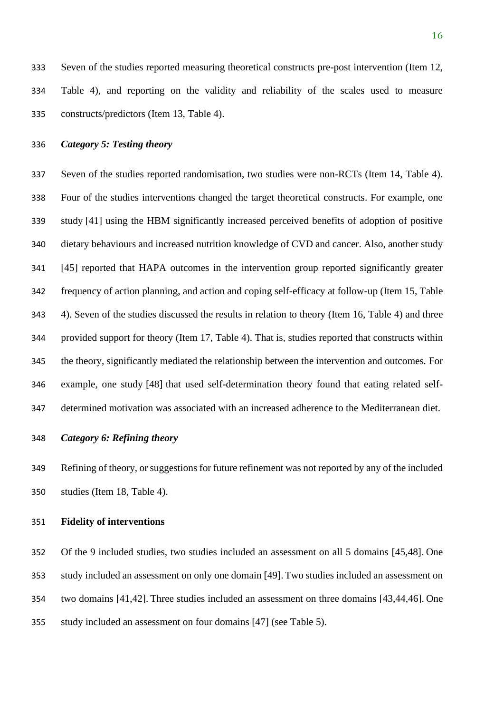Seven of the studies reported measuring theoretical constructs pre-post intervention (Item 12, Table 4), and reporting on the validity and reliability of the scales used to measure constructs/predictors (Item 13, Table 4).

# *Category 5: Testing theory*

 Seven of the studies reported randomisation, two studies were non-RCTs (Item 14, Table 4). Four of the studies interventions changed the target theoretical constructs. For example, one study [41] using the HBM significantly increased perceived benefits of adoption of positive dietary behaviours and increased nutrition knowledge of CVD and cancer. Also, another study [45] reported that HAPA outcomes in the intervention group reported significantly greater frequency of action planning, and action and coping self-efficacy at follow-up (Item 15, Table 4). Seven of the studies discussed the results in relation to theory (Item 16, Table 4) and three provided support for theory (Item 17, Table 4). That is, studies reported that constructs within the theory, significantly mediated the relationship between the intervention and outcomes*.* For example, one study [48] that used self-determination theory found that eating related self-determined motivation was associated with an increased adherence to the Mediterranean diet.

## *Category 6: Refining theory*

 Refining of theory, or suggestions for future refinement was not reported by any of the included studies (Item 18, Table 4).

## **Fidelity of interventions**

 Of the 9 included studies, two studies included an assessment on all 5 domains [45,48]. One study included an assessment on only one domain [49].Two studies included an assessment on two domains [41,42]. Three studies included an assessment on three domains [43,44,46]. One study included an assessment on four domains [47] (see Table 5).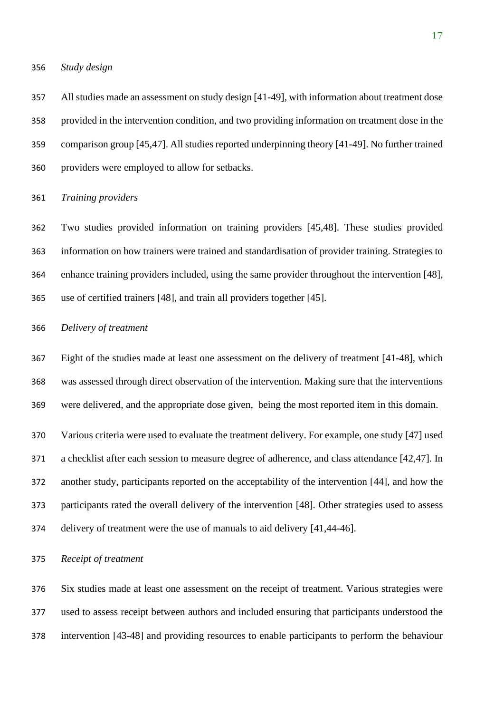*Study design*

 All studies made an assessment on study design [41-49], with information about treatment dose provided in the intervention condition, and two providing information on treatment dose in the comparison group [45,47]. All studies reported underpinning theory [41-49]. No further trained providers were employed to allow for setbacks.

#### *Training providers*

 Two studies provided information on training providers [45,48]. These studies provided information on how trainers were trained and standardisation of provider training. Strategies to enhance training providers included, using the same provider throughout the intervention [48], use of certified trainers [48], and train all providers together [45].

## *Delivery of treatment*

 Eight of the studies made at least one assessment on the delivery of treatment [41-48], which was assessed through direct observation of the intervention. Making sure that the interventions were delivered, and the appropriate dose given, being the most reported item in this domain.

 Various criteria were used to evaluate the treatment delivery. For example, one study [47] used a checklist after each session to measure degree of adherence, and class attendance [42,47]. In another study, participants reported on the acceptability of the intervention [44], and how the participants rated the overall delivery of the intervention [48]. Other strategies used to assess delivery of treatment were the use of manuals to aid delivery [41,44-46].

*Receipt of treatment*

 Six studies made at least one assessment on the receipt of treatment. Various strategies were used to assess receipt between authors and included ensuring that participants understood the intervention [43-48] and providing resources to enable participants to perform the behaviour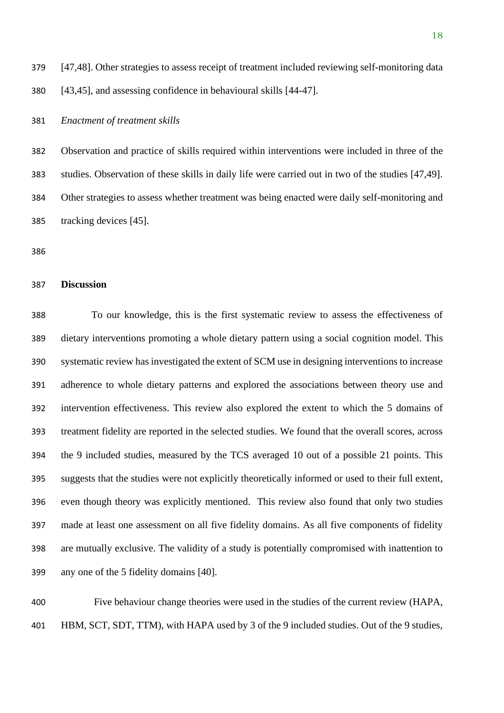[47,48]. Other strategies to assess receipt of treatment included reviewing self-monitoring data [43,45], and assessing confidence in behavioural skills [44-47].

*Enactment of treatment skills*

 Observation and practice of skills required within interventions were included in three of the studies. Observation of these skills in daily life were carried out in two of the studies [47,49]. Other strategies to assess whether treatment was being enacted were daily self-monitoring and tracking devices [45].

## **Discussion**

 To our knowledge, this is the first systematic review to assess the effectiveness of dietary interventions promoting a whole dietary pattern using a social cognition model. This systematic review has investigated the extent of SCM use in designing interventions to increase adherence to whole dietary patterns and explored the associations between theory use and intervention effectiveness. This review also explored the extent to which the 5 domains of treatment fidelity are reported in the selected studies. We found that the overall scores, across the 9 included studies, measured by the TCS averaged 10 out of a possible 21 points. This suggests that the studies were not explicitly theoretically informed or used to their full extent, even though theory was explicitly mentioned. This review also found that only two studies made at least one assessment on all five fidelity domains. As all five components of fidelity are mutually exclusive. The validity of a study is potentially compromised with inattention to any one of the 5 fidelity domains [40].

 Five behaviour change theories were used in the studies of the current review (HAPA, HBM, SCT, SDT, TTM), with HAPA used by 3 of the 9 included studies. Out of the 9 studies,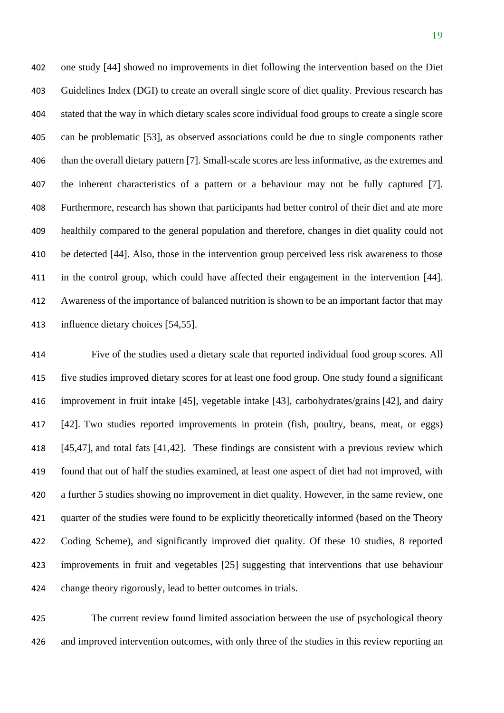one study [44] showed no improvements in diet following the intervention based on the Diet Guidelines Index (DGI) to create an overall single score of diet quality. Previous research has stated that the way in which dietary scales score individual food groups to create a single score can be problematic [53], as observed associations could be due to single components rather than the overall dietary pattern [7]. Small-scale scores are less informative, as the extremes and the inherent characteristics of a pattern or a behaviour may not be fully captured [7]. Furthermore, research has shown that participants had better control of their diet and ate more healthily compared to the general population and therefore, changes in diet quality could not be detected [44]. Also, those in the intervention group perceived less risk awareness to those in the control group, which could have affected their engagement in the intervention [44]. Awareness of the importance of balanced nutrition is shown to be an important factor that may influence dietary choices [54,55].

 Five of the studies used a dietary scale that reported individual food group scores. All five studies improved dietary scores for at least one food group. One study found a significant improvement in fruit intake [45], vegetable intake [43], carbohydrates/grains [42], and dairy [42]. Two studies reported improvements in protein (fish, poultry, beans, meat, or eggs) [45,47], and total fats [41,42]. These findings are consistent with a previous review which found that out of half the studies examined, at least one aspect of diet had not improved, with a further 5 studies showing no improvement in diet quality. However, in the same review, one quarter of the studies were found to be explicitly theoretically informed (based on the Theory Coding Scheme), and significantly improved diet quality. Of these 10 studies, 8 reported improvements in fruit and vegetables [25] suggesting that interventions that use behaviour change theory rigorously, lead to better outcomes in trials.

 The current review found limited association between the use of psychological theory and improved intervention outcomes, with only three of the studies in this review reporting an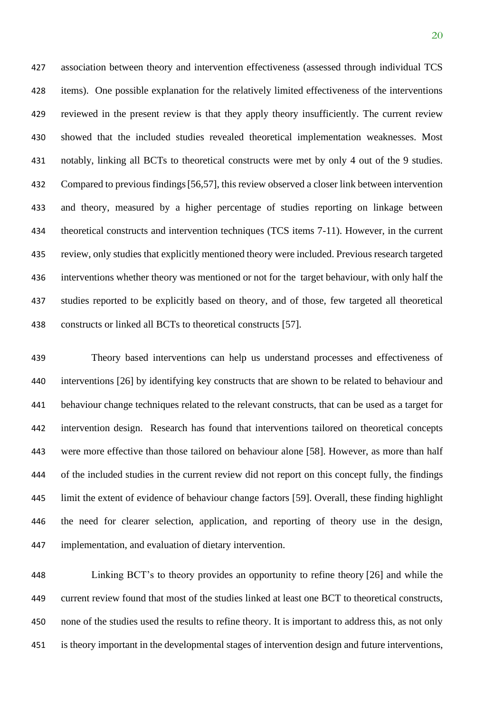association between theory and intervention effectiveness (assessed through individual TCS items). One possible explanation for the relatively limited effectiveness of the interventions reviewed in the present review is that they apply theory insufficiently. The current review showed that the included studies revealed theoretical implementation weaknesses. Most notably, linking all BCTs to theoretical constructs were met by only 4 out of the 9 studies. Compared to previous findings[56,57], this review observed a closer link between intervention and theory, measured by a higher percentage of studies reporting on linkage between theoretical constructs and intervention techniques (TCS items 7-11). However, in the current review, only studies that explicitly mentioned theory were included. Previous research targeted interventions whether theory was mentioned or not for the target behaviour, with only half the studies reported to be explicitly based on theory, and of those, few targeted all theoretical constructs or linked all BCTs to theoretical constructs [57].

 Theory based interventions can help us understand processes and effectiveness of interventions [26] by identifying key constructs that are shown to be related to behaviour and behaviour change techniques related to the relevant constructs, that can be used as a target for intervention design. Research has found that interventions tailored on theoretical concepts were more effective than those tailored on behaviour alone [58]. However, as more than half of the included studies in the current review did not report on this concept fully, the findings limit the extent of evidence of behaviour change factors [59]. Overall, these finding highlight the need for clearer selection, application, and reporting of theory use in the design, implementation, and evaluation of dietary intervention.

 Linking BCT's to theory provides an opportunity to refine theory [26] and while the current review found that most of the studies linked at least one BCT to theoretical constructs, none of the studies used the results to refine theory. It is important to address this, as not only is theory important in the developmental stages of intervention design and future interventions,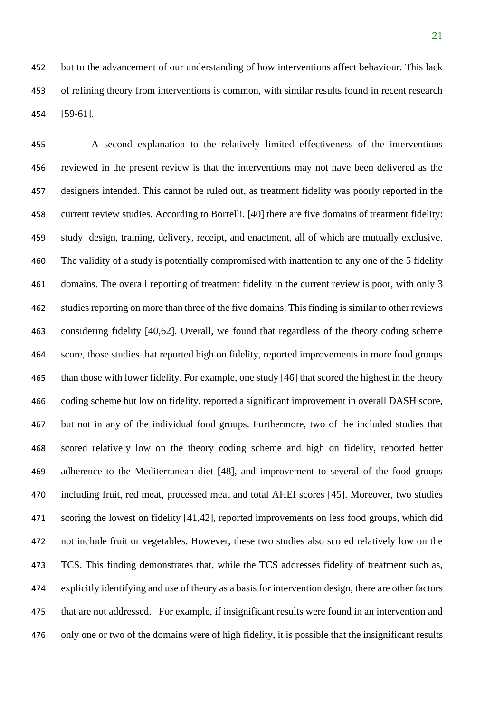but to the advancement of our understanding of how interventions affect behaviour. This lack of refining theory from interventions is common, with similar results found in recent research [59-61].

 A second explanation to the relatively limited effectiveness of the interventions reviewed in the present review is that the interventions may not have been delivered as the designers intended. This cannot be ruled out, as treatment fidelity was poorly reported in the current review studies. According to Borrelli. [40] there are five domains of treatment fidelity: study design, training, delivery, receipt, and enactment, all of which are mutually exclusive. The validity of a study is potentially compromised with inattention to any one of the 5 fidelity 461 domains. The overall reporting of treatment fidelity in the current review is poor, with only 3 studies reporting on more than three of the five domains. This finding is similar to other reviews considering fidelity [40,62]. Overall, we found that regardless of the theory coding scheme score, those studies that reported high on fidelity, reported improvements in more food groups than those with lower fidelity. For example, one study [46] that scored the highest in the theory coding scheme but low on fidelity, reported a significant improvement in overall DASH score, but not in any of the individual food groups. Furthermore, two of the included studies that scored relatively low on the theory coding scheme and high on fidelity, reported better adherence to the Mediterranean diet [48], and improvement to several of the food groups including fruit, red meat, processed meat and total AHEI scores [45]. Moreover, two studies scoring the lowest on fidelity [41,42], reported improvements on less food groups, which did not include fruit or vegetables. However, these two studies also scored relatively low on the TCS. This finding demonstrates that, while the TCS addresses fidelity of treatment such as, explicitly identifying and use of theory as a basis for intervention design, there are other factors that are not addressed. For example, if insignificant results were found in an intervention and only one or two of the domains were of high fidelity, it is possible that the insignificant results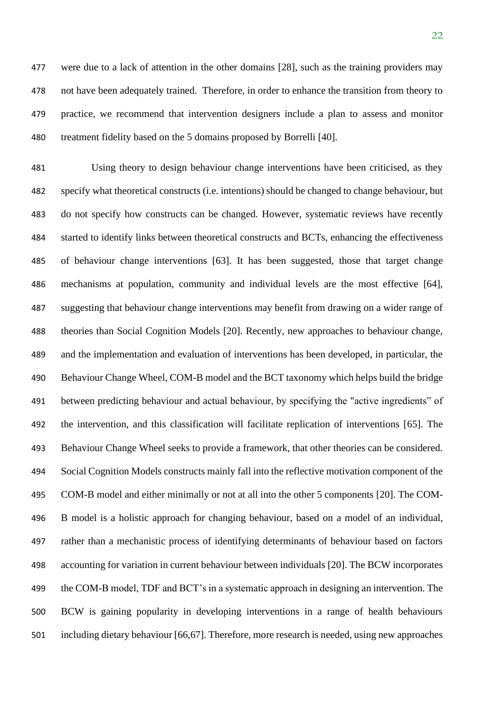were due to a lack of attention in the other domains [28], such as the training providers may not have been adequately trained. Therefore, in order to enhance the transition from theory to practice, we recommend that intervention designers include a plan to assess and monitor treatment fidelity based on the 5 domains proposed by Borrelli [40].

 Using theory to design behaviour change interventions have been criticised, as they specify what theoretical constructs (i.e. intentions) should be changed to change behaviour, but do not specify how constructs can be changed. However, systematic reviews have recently started to identify links between theoretical constructs and BCTs, enhancing the effectiveness of behaviour change interventions [63]. It has been suggested, those that target change mechanisms at population, community and individual levels are the most effective [64], suggesting that behaviour change interventions may benefit from drawing on a wider range of theories than Social Cognition Models [20]. Recently, new approaches to behaviour change, and the implementation and evaluation of interventions has been developed, in particular, the Behaviour Change Wheel, COM-B model and the BCT taxonomy which helps build the bridge between predicting behaviour and actual behaviour, by specifying the "active ingredients" of the intervention, and this classification will facilitate replication of interventions [65]. The Behaviour Change Wheel seeks to provide a framework, that other theories can be considered. Social Cognition Models constructs mainly fall into the reflective motivation component of the COM-B model and either minimally or not at all into the other 5 components [20]. The COM- B model is a holistic approach for changing behaviour, based on a model of an individual, rather than a mechanistic process of identifying determinants of behaviour based on factors accounting for variation in current behaviour between individuals [20]. The BCW incorporates the COM-B model, TDF and BCT's in a systematic approach in designing an intervention. The BCW is gaining popularity in developing interventions in a range of health behaviours including dietary behaviour [66,67]. Therefore, more research is needed, using new approaches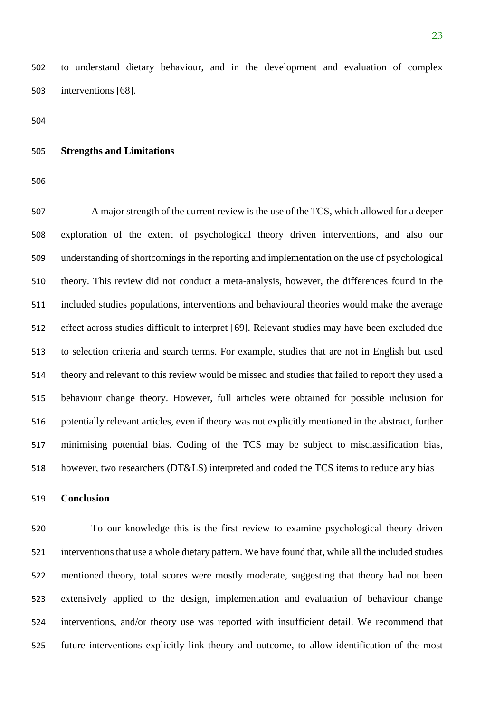to understand dietary behaviour, and in the development and evaluation of complex interventions [68].

#### **Strengths and Limitations**

 A major strength of the current review is the use of the TCS, which allowed for a deeper exploration of the extent of psychological theory driven interventions, and also our understanding of shortcomings in the reporting and implementation on the use of psychological theory. This review did not conduct a meta-analysis, however, the differences found in the included studies populations, interventions and behavioural theories would make the average effect across studies difficult to interpret [69]. Relevant studies may have been excluded due to selection criteria and search terms. For example, studies that are not in English but used theory and relevant to this review would be missed and studies that failed to report they used a behaviour change theory. However, full articles were obtained for possible inclusion for potentially relevant articles, even if theory was not explicitly mentioned in the abstract, further minimising potential bias. Coding of the TCS may be subject to misclassification bias, however, two researchers (DT&LS) interpreted and coded the TCS items to reduce any bias

## **Conclusion**

 To our knowledge this is the first review to examine psychological theory driven interventions that use a whole dietary pattern. We have found that, while all the included studies mentioned theory, total scores were mostly moderate, suggesting that theory had not been extensively applied to the design, implementation and evaluation of behaviour change interventions, and/or theory use was reported with insufficient detail. We recommend that future interventions explicitly link theory and outcome, to allow identification of the most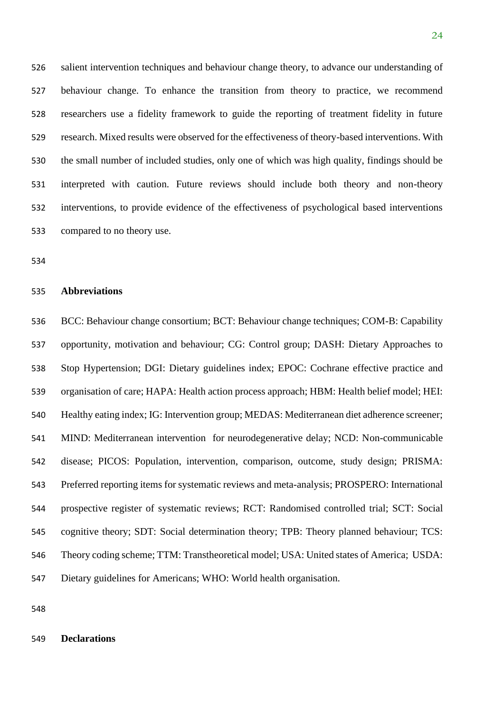salient intervention techniques and behaviour change theory, to advance our understanding of behaviour change. To enhance the transition from theory to practice, we recommend researchers use a fidelity framework to guide the reporting of treatment fidelity in future research. Mixed results were observed for the effectiveness of theory-based interventions. With the small number of included studies, only one of which was high quality, findings should be interpreted with caution. Future reviews should include both theory and non-theory interventions, to provide evidence of the effectiveness of psychological based interventions compared to no theory use.

#### **Abbreviations**

 BCC: Behaviour change consortium; BCT: Behaviour change techniques; COM-B: Capability opportunity, motivation and behaviour; CG: Control group; DASH: Dietary Approaches to Stop Hypertension; DGI: Dietary guidelines index; EPOC: Cochrane effective practice and organisation of care; HAPA: Health action process approach; HBM: Health belief model; HEI: Healthy eating index; IG: Intervention group; MEDAS: Mediterranean diet adherence screener; MIND: Mediterranean intervention for neurodegenerative delay; NCD: Non-communicable disease; PICOS: Population, intervention, comparison, outcome, study design; PRISMA: Preferred reporting items for systematic reviews and meta-analysis; PROSPERO: International prospective register of systematic reviews; RCT: Randomised controlled trial; SCT: Social cognitive theory; SDT: Social determination theory; TPB: Theory planned behaviour; TCS: Theory coding scheme; TTM: Transtheoretical model; USA: United states of America; USDA: Dietary guidelines for Americans; WHO: World health organisation.

## **Declarations**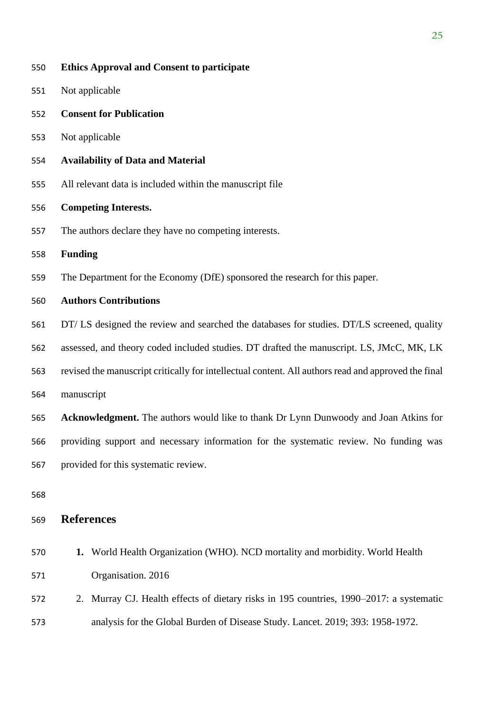| 550 | <b>Ethics Approval and Consent to participate</b>                                                   |
|-----|-----------------------------------------------------------------------------------------------------|
| 551 | Not applicable                                                                                      |
| 552 | <b>Consent for Publication</b>                                                                      |
| 553 | Not applicable                                                                                      |
| 554 | <b>Availability of Data and Material</b>                                                            |
| 555 | All relevant data is included within the manuscript file                                            |
| 556 | <b>Competing Interests.</b>                                                                         |
| 557 | The authors declare they have no competing interests.                                               |
| 558 | <b>Funding</b>                                                                                      |
| 559 | The Department for the Economy (DfE) sponsored the research for this paper.                         |
| 560 | <b>Authors Contributions</b>                                                                        |
| 561 | DT/LS designed the review and searched the databases for studies. DT/LS screened, quality           |
| 562 | assessed, and theory coded included studies. DT drafted the manuscript. LS, JMcC, MK, LK            |
| 563 | revised the manuscript critically for intellectual content. All authors read and approved the final |
| 564 | manuscript                                                                                          |
| 565 | Acknowledgment. The authors would like to thank Dr Lynn Dunwoody and Joan Atkins for                |
| 566 | providing support and necessary information for the systematic review. No funding was               |
| 567 | provided for this systematic review.                                                                |
| 568 |                                                                                                     |
| 569 | <b>References</b>                                                                                   |
| 570 | 1. World Health Organization (WHO). NCD mortality and morbidity. World Health                       |
| 571 | Organisation. 2016                                                                                  |
| 572 | 2. Murray CJ. Health effects of dietary risks in 195 countries, 1990–2017: a systematic             |
| 573 | analysis for the Global Burden of Disease Study. Lancet. 2019; 393: 1958-1972.                      |
|     |                                                                                                     |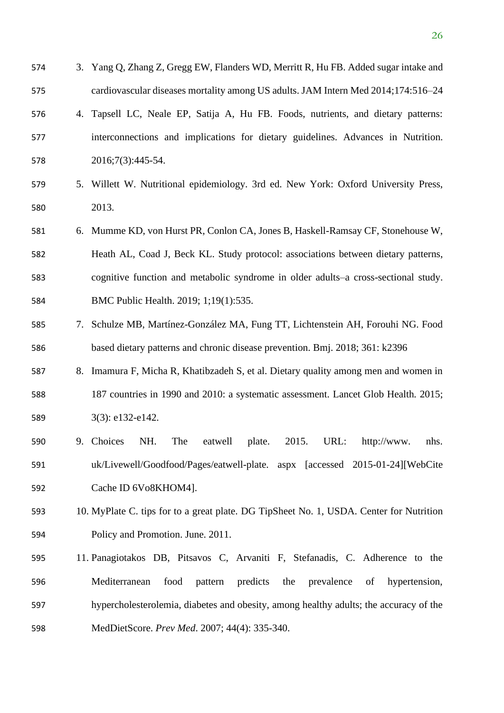- 3. Yang Q, Zhang Z, Gregg EW, Flanders WD, Merritt R, Hu FB. Added sugar intake and cardiovascular diseases mortality among US adults. JAM Intern Med 2014;174:516–24
- 4. Tapsell LC, Neale EP, Satija A, Hu FB. Foods, nutrients, and dietary patterns: interconnections and implications for dietary guidelines. Advances in Nutrition. 2016;7(3):445-54.
- 5. Willett W. Nutritional epidemiology. 3rd ed. New York: Oxford University Press, 2013.
- 6. Mumme KD, von Hurst PR, Conlon CA, Jones B, Haskell-Ramsay CF, Stonehouse W, Heath AL, Coad J, Beck KL. Study protocol: associations between dietary patterns, cognitive function and metabolic syndrome in older adults–a cross-sectional study. BMC Public Health. 2019; 1;19(1):535.
- 7. Schulze MB, Martínez-González MA, Fung TT, Lichtenstein AH, Forouhi NG. Food based dietary patterns and chronic disease prevention. Bmj. 2018; 361: k2396
- 8. Imamura F, Micha R, Khatibzadeh S, et al. Dietary quality among men and women in 187 countries in 1990 and 2010: a systematic assessment. Lancet Glob Health*.* 2015; 589 3(3): e132-e142.
- 9. Choices NH. The eatwell plate. 2015. URL: http://www. nhs. uk/Livewell/Goodfood/Pages/eatwell-plate. aspx [accessed 2015-01-24][WebCite Cache ID 6Vo8KHOM4].
- 10. MyPlate C. tips for to a great plate. DG TipSheet No. 1, USDA. Center for Nutrition Policy and Promotion. June. 2011.
- 11. Panagiotakos DB, Pitsavos C, Arvaniti F, Stefanadis, C. Adherence to the Mediterranean food pattern predicts the prevalence of hypertension, hypercholesterolemia, diabetes and obesity, among healthy adults; the accuracy of the MedDietScore. *Prev Med*. 2007; 44(4): 335-340.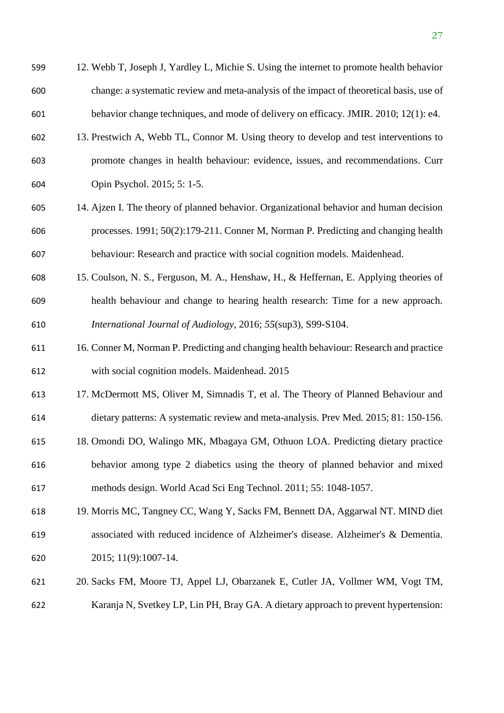- 13. Prestwich A, Webb TL, Connor M. Using theory to develop and test interventions to promote changes in health behaviour: evidence, issues, and recommendations. Curr Opin Psychol. 2015; 5: 1-5.
- 14. Ajzen I. The theory of planned behavior. Organizational behavior and human decision processes. 1991; 50(2):179-211. Conner M, Norman P. Predicting and changing health behaviour: Research and practice with social cognition models. Maidenhead.
- 15. Coulson, N. S., Ferguson, M. A., Henshaw, H., & Heffernan, E. Applying theories of health behaviour and change to hearing health research: Time for a new approach. *International Journal of Audiology*, 2016; *55*(sup3), S99-S104.
- 16. Conner M, Norman P. Predicting and changing health behaviour: Research and practice with social cognition models. Maidenhead. 2015
- 17. McDermott MS, Oliver M, Simnadis T, et al. The Theory of Planned Behaviour and
- dietary patterns: A systematic review and meta-analysis. Prev Med*.* 2015; 81: 150-156.
- 18. Omondi DO, Walingo MK, Mbagaya GM, Othuon LOA. Predicting dietary practice behavior among type 2 diabetics using the theory of planned behavior and mixed methods design. World Acad Sci Eng Technol. 2011; 55: 1048-1057.
- 19. Morris MC, Tangney CC, Wang Y, Sacks FM, Bennett DA, Aggarwal NT. MIND diet associated with reduced incidence of Alzheimer's disease. Alzheimer's & Dementia. 2015; 11(9):1007-14.
- 20. Sacks FM, Moore TJ, Appel LJ, Obarzanek E, Cutler JA, Vollmer WM, Vogt TM, Karanja N, Svetkey LP, Lin PH, Bray GA. A dietary approach to prevent hypertension: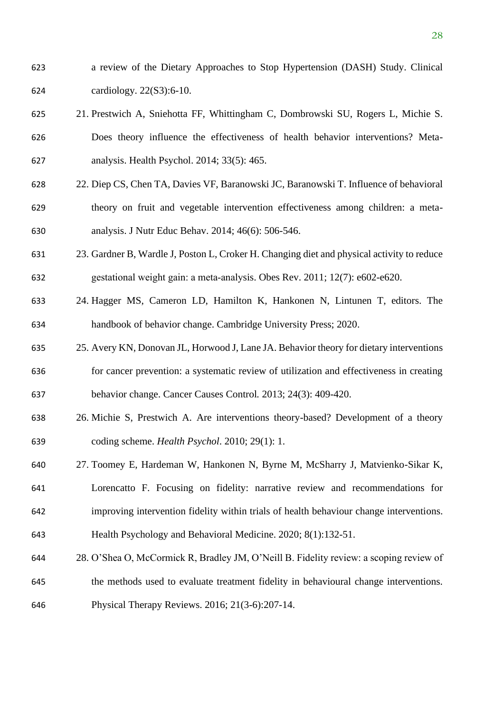- a review of the Dietary Approaches to Stop Hypertension (DASH) Study. Clinical cardiology. 22(S3):6-10.
- 21. Prestwich A, Sniehotta FF, Whittingham C, Dombrowski SU, Rogers L, Michie S. Does theory influence the effectiveness of health behavior interventions? Meta-analysis. Health Psychol. 2014; 33(5): 465.
- 22. Diep CS, Chen TA, Davies VF, Baranowski JC, Baranowski T. Influence of behavioral theory on fruit and vegetable intervention effectiveness among children: a meta-analysis. J Nutr Educ Behav. 2014; 46(6): 506-546.
- 23. Gardner B, Wardle J, Poston L, Croker H. Changing diet and physical activity to reduce gestational weight gain: a meta‐analysis. Obes Rev. 2011; 12(7): e602-e620.
- 24. Hagger MS, Cameron LD, Hamilton K, Hankonen N, Lintunen T, editors. The handbook of behavior change. Cambridge University Press; 2020.
- 25. Avery KN, Donovan JL, Horwood J, Lane JA. Behavior theory for dietary interventions for cancer prevention: a systematic review of utilization and effectiveness in creating behavior change. Cancer Causes Control*.* 2013; 24(3): 409-420.
- 26. Michie S, Prestwich A. Are interventions theory-based? Development of a theory coding scheme. *Health Psychol*. 2010; 29(1): 1.
- 27. Toomey E, Hardeman W, Hankonen N, Byrne M, McSharry J, Matvienko-Sikar K,
- Lorencatto F. Focusing on fidelity: narrative review and recommendations for
- improving intervention fidelity within trials of health behaviour change interventions.
- Health Psychology and Behavioral Medicine. 2020; 8(1):132-51.
- 28. O'Shea O, McCormick R, Bradley JM, O'Neill B. Fidelity review: a scoping review of the methods used to evaluate treatment fidelity in behavioural change interventions.
- Physical Therapy Reviews. 2016; 21(3-6):207-14.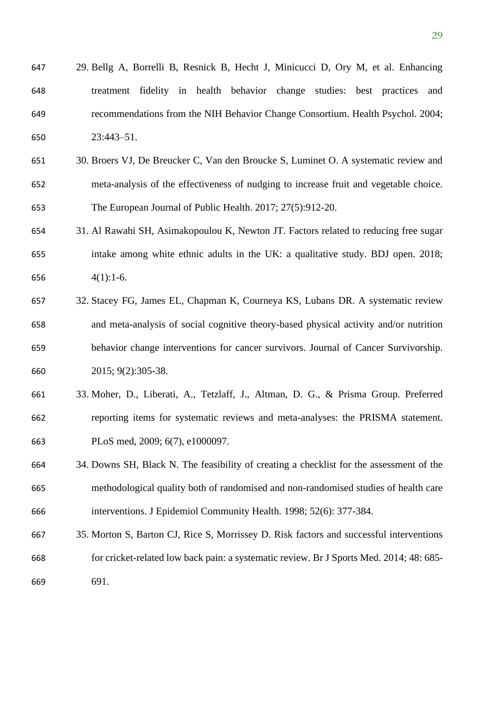- 29. Bellg A, Borrelli B, Resnick B, Hecht J, Minicucci D, Ory M, et al. Enhancing treatment fidelity in health behavior change studies: best practices and recommendations from the NIH Behavior Change Consortium. Health Psychol. 2004; 23:443–51.
- 30. Broers VJ, De Breucker C, Van den Broucke S, Luminet O. A systematic review and meta-analysis of the effectiveness of nudging to increase fruit and vegetable choice. The European Journal of Public Health. 2017; 27(5):912-20.
- 31. Al Rawahi SH, Asimakopoulou K, Newton JT. Factors related to reducing free sugar intake among white ethnic adults in the UK: a qualitative study. BDJ open. 2018; 4(1):1-6.
- 32. Stacey FG, James EL, Chapman K, Courneya KS, Lubans DR. A systematic review and meta-analysis of social cognitive theory-based physical activity and/or nutrition behavior change interventions for cancer survivors. Journal of Cancer Survivorship. 2015; 9(2):305-38.
- 33. Moher, D., Liberati, A., Tetzlaff, J., Altman, D. G., & Prisma Group. Preferred reporting items for systematic reviews and meta-analyses: the PRISMA statement. PLoS med, 2009; 6(7), e1000097.
- 34. Downs SH, Black N. The feasibility of creating a checklist for the assessment of the methodological quality both of randomised and non-randomised studies of health care interventions. J Epidemiol Community Health*.* 1998; 52(6): 377-384.
- 35. Morton S, Barton CJ, Rice S, Morrissey D. Risk factors and successful interventions for cricket-related low back pain: a systematic review. Br J Sports Med. 2014; 48: 685- 691.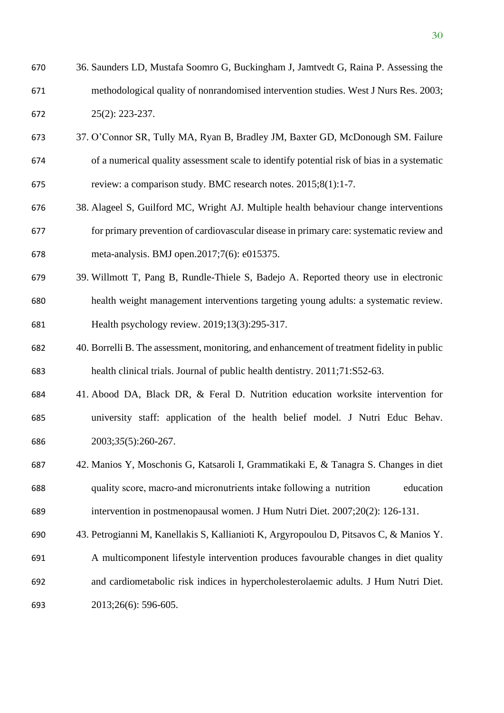- 36. Saunders LD, Mustafa Soomro G, Buckingham J, Jamtvedt G, Raina P. Assessing the methodological quality of nonrandomised intervention studies. West J Nurs Res. 2003; 25(2): 223-237.
- 37. O'Connor SR, Tully MA, Ryan B, Bradley JM, Baxter GD, McDonough SM. Failure of a numerical quality assessment scale to identify potential risk of bias in a systematic review: a comparison study. BMC research notes. 2015;8(1):1-7.
- 38. Alageel S, Guilford MC, Wright AJ. Multiple health behaviour change interventions for primary prevention of cardiovascular disease in primary care: systematic review and meta-analysis. BMJ open.2017;7(6): e015375.
- 39. Willmott T, Pang B, Rundle-Thiele S, Badejo A. Reported theory use in electronic health weight management interventions targeting young adults: a systematic review. Health psychology review. 2019;13(3):295-317.
- 40. Borrelli B. The assessment, monitoring, and enhancement of treatment fidelity in public health clinical trials. Journal of public health dentistry. 2011;71:S52-63.
- 41. Abood DA, Black DR, & Feral D. Nutrition education worksite intervention for university staff: application of the health belief model. J Nutri Educ Behav. 2003;*35*(5):260-267.
- 42. Manios Y, Moschonis G, Katsaroli I, Grammatikaki E, & Tanagra S. Changes in diet quality score, macro‐and micronutrients intake following a nutrition education intervention in postmenopausal women. J Hum Nutri Diet. 2007;20(2): 126-131.
- 43. Petrogianni M, Kanellakis S, Kallianioti K, Argyropoulou D, Pitsavos C, & Manios Y.
- A multicomponent lifestyle intervention produces favourable changes in diet quality and cardiometabolic risk indices in hypercholesterolaemic adults. J Hum Nutri Diet. 2013;26(6): 596-605.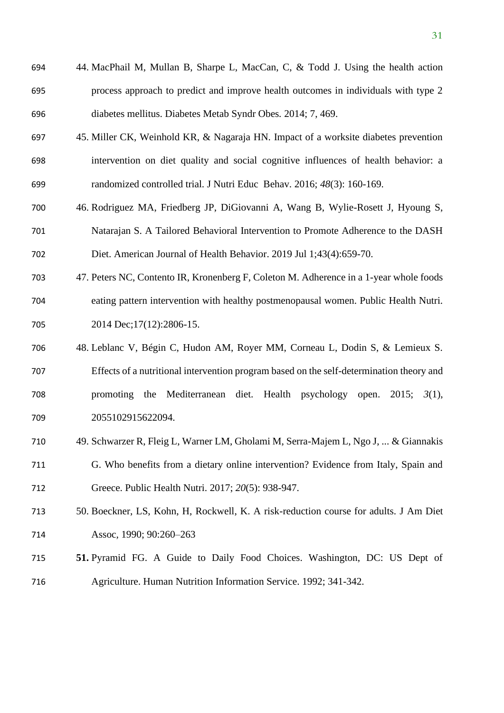| 694 | 44. MacPhail M, Mullan B, Sharpe L, MacCan, C, & Todd J. Using the health action   |
|-----|------------------------------------------------------------------------------------|
| 695 | process approach to predict and improve health outcomes in individuals with type 2 |
| 696 | diabetes mellitus. Diabetes Metab Syndr Obes. 2014; 7, 469.                        |

- 45. Miller CK, Weinhold KR, & Nagaraja HN. Impact of a worksite diabetes prevention intervention on diet quality and social cognitive influences of health behavior: a randomized controlled trial. J Nutri Educ Behav. 2016; *48*(3): 160-169.
- 46. Rodriguez MA, Friedberg JP, DiGiovanni A, Wang B, Wylie-Rosett J, Hyoung S, Natarajan S. A Tailored Behavioral Intervention to Promote Adherence to the DASH Diet. American Journal of Health Behavior. 2019 Jul 1;43(4):659-70.
- 47. Peters NC, Contento IR, Kronenberg F, Coleton M. Adherence in a 1-year whole foods eating pattern intervention with healthy postmenopausal women. Public Health Nutri. 705 2014 Dec; 17(12): 2806-15.
- 48. Leblanc V, Bégin C, Hudon AM, Royer MM, Corneau L, Dodin S, & Lemieux S. Effects of a nutritional intervention program based on the self-determination theory and promoting the Mediterranean diet. Health psychology open. 2015; *3*(1), 2055102915622094.
- 49. Schwarzer R, Fleig L, Warner LM, Gholami M, Serra-Majem L, Ngo J, ... & Giannakis
- G. Who benefits from a dietary online intervention? Evidence from Italy, Spain and Greece. Public Health Nutri. 2017; *20*(5): 938-947.
- 50. Boeckner, LS, Kohn, H, Rockwell, K. A risk-reduction course for adults. J Am Diet Assoc*,* 1990; 90:260–263
- **51.** Pyramid FG. A Guide to Daily Food Choices. Washington, DC: US Dept of Agriculture. Human Nutrition Information Service. 1992; 341-342.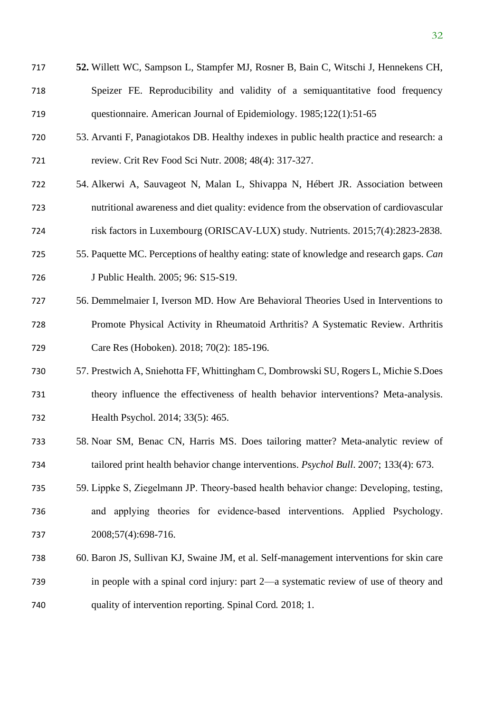- **52.** Willett WC, Sampson L, Stampfer MJ, Rosner B, Bain C, Witschi J, Hennekens CH, Speizer FE. Reproducibility and validity of a semiquantitative food frequency questionnaire. American Journal of Epidemiology. 1985;122(1):51-65
- 53. Arvanti F, Panagiotakos DB. Healthy indexes in public health practice and research: a review. Crit Rev Food Sci Nutr. 2008; 48(4): 317-327.
- 54. Alkerwi A, Sauvageot N, Malan L, Shivappa N, Hébert JR. Association between nutritional awareness and diet quality: evidence from the observation of cardiovascular risk factors in Luxembourg (ORISCAV-LUX) study. Nutrients. 2015;7(4):2823-2838.
- 55. Paquette MC. Perceptions of healthy eating: state of knowledge and research gaps. *Can*  J Public Health. 2005; 96: S15-S19.
- 56. Demmelmaier I, Iverson MD. How Are Behavioral Theories Used in Interventions to Promote Physical Activity in Rheumatoid Arthritis? A Systematic Review. Arthritis Care Res (Hoboken). 2018; 70(2): 185-196.
- 57. Prestwich A, Sniehotta FF, Whittingham C, Dombrowski SU, Rogers L, Michie S.Does theory influence the effectiveness of health behavior interventions? Meta-analysis. Health Psychol. 2014; 33(5): 465.
- 58. Noar SM, Benac CN, Harris MS. Does tailoring matter? Meta-analytic review of tailored print health behavior change interventions. *Psychol Bull*. 2007; 133(4): 673.
- 59. Lippke S, Ziegelmann JP. Theory‐based health behavior change: Developing, testing, and applying theories for evidence‐based interventions. Applied Psychology. 2008;57(4):698-716.
- 60. Baron JS, Sullivan KJ, Swaine JM, et al. Self-management interventions for skin care in people with a spinal cord injury: part 2—a systematic review of use of theory and quality of intervention reporting. Spinal Cord*.* 2018; 1.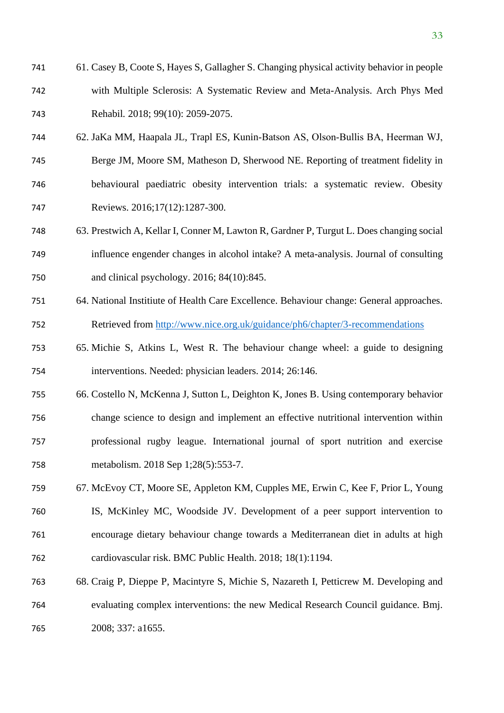- 61. Casey B, Coote S, Hayes S, Gallagher S. Changing physical activity behavior in people with Multiple Sclerosis: A Systematic Review and Meta-Analysis. Arch Phys Med Rehabil*.* 2018; 99(10): 2059-2075.
- 62. JaKa MM, Haapala JL, Trapl ES, Kunin‐Batson AS, Olson‐Bullis BA, Heerman WJ, Berge JM, Moore SM, Matheson D, Sherwood NE. Reporting of treatment fidelity in
- behavioural paediatric obesity intervention trials: a systematic review. Obesity Reviews. 2016;17(12):1287-300.
- 63. Prestwich A, Kellar I, Conner M, Lawton R, Gardner P, Turgut L. Does changing social influence engender changes in alcohol intake? A meta-analysis. Journal of consulting and clinical psychology. 2016; 84(10):845.
- 64. National Institiute of Health Care Excellence. Behaviour change: General approaches. Retrieved from<http://www.nice.org.uk/guidance/ph6/chapter/3-recommendations>
- 65. Michie S, Atkins L, West R. The behaviour change wheel: a guide to designing interventions. Needed: physician leaders. 2014; 26:146.
- 66. Costello N, McKenna J, Sutton L, Deighton K, Jones B. Using contemporary behavior change science to design and implement an effective nutritional intervention within professional rugby league. International journal of sport nutrition and exercise metabolism. 2018 Sep 1;28(5):553-7.
- 67. McEvoy CT, Moore SE, Appleton KM, Cupples ME, Erwin C, Kee F, Prior L, Young IS, McKinley MC, Woodside JV. Development of a peer support intervention to encourage dietary behaviour change towards a Mediterranean diet in adults at high cardiovascular risk. BMC Public Health. 2018; 18(1):1194.
- 68. Craig P, Dieppe P, Macintyre S, Michie S, Nazareth I, Petticrew M. Developing and evaluating complex interventions: the new Medical Research Council guidance. Bmj. 2008; 337: a1655.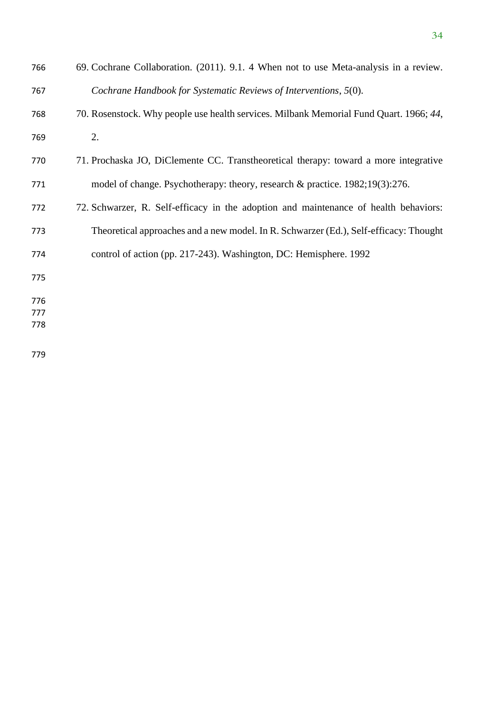| 766 | 69. Cochrane Collaboration. (2011). 9.1. 4 When not to use Meta-analysis in a review.  |
|-----|----------------------------------------------------------------------------------------|
| 767 | Cochrane Handbook for Systematic Reviews of Interventions, 5(0).                       |
| 768 | 70. Rosenstock. Why people use health services. Milbank Memorial Fund Quart. 1966; 44, |
| 769 | 2.                                                                                     |
| 770 | 71. Prochaska JO, DiClemente CC. Transtheoretical therapy: toward a more integrative   |
| 771 | model of change. Psychotherapy: theory, research & practice. 1982;19(3):276.           |
| 772 | 72. Schwarzer, R. Self-efficacy in the adoption and maintenance of health behaviors:   |
| 773 | Theoretical approaches and a new model. In R. Schwarzer (Ed.), Self-efficacy: Thought  |
| 774 | control of action (pp. 217-243). Washington, DC: Hemisphere. 1992                      |
| 775 |                                                                                        |
| 776 |                                                                                        |
| 777 |                                                                                        |
| 778 |                                                                                        |
| 779 |                                                                                        |